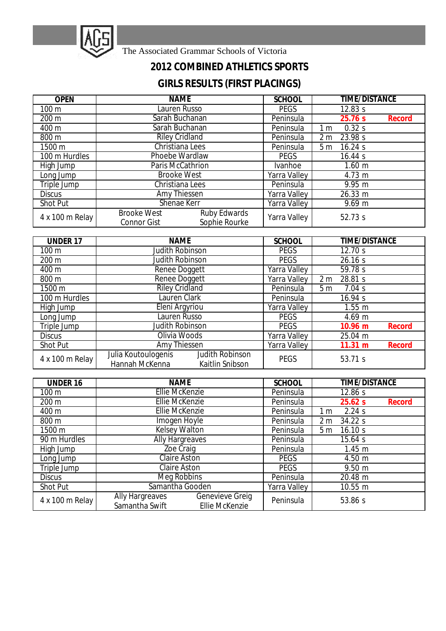

The Associated Grammar Schools of Victoria

## **2012 COMBINED ATHLETICS SPORTS**

## **GIRLS RESULTS (FIRST PLACINGS)**

| <b>OPEN</b>      | <b>NAME</b>                                                                      | <b>SCHOOL</b>          | <b>TIME/DISTANCE</b>      |
|------------------|----------------------------------------------------------------------------------|------------------------|---------------------------|
| 100 <sub>m</sub> | Lauren Russo                                                                     | <b>PEGS</b>            | 12.83 s                   |
| 200 m            | Sarah Buchanan                                                                   | Peninsula              | 25.76 s<br><b>Record</b>  |
| 400 m            | Sarah Buchanan                                                                   | Peninsula              | 0.32 s<br>1 <sub>m</sub>  |
| 800 m            | <b>Riley Cridland</b>                                                            | Peninsula              | 23.98 s<br>2 <sub>m</sub> |
| 1500 m           | Christiana Lees                                                                  | Peninsula              | 16.24 s<br>5 <sub>m</sub> |
| 100 m Hurdles    | Phoebe Wardlaw                                                                   | <b>PEGS</b><br>16.44 s |                           |
| High Jump        | Paris McCathrion                                                                 | Ivanhoe                | $1.60$ m                  |
| Long Jump        | <b>Brooke West</b>                                                               | <b>Yarra Valley</b>    | 4.73 m                    |
| Triple Jump      | Christiana Lees                                                                  | Peninsula              | 9.95 m                    |
| <b>Discus</b>    | Amy Thiessen                                                                     | <b>Yarra Valley</b>    | 26.33 m                   |
| <b>Shot Put</b>  | Shenae Kerr                                                                      | <b>Yarra Valley</b>    | $9.69 \text{ m}$          |
| 4 x 100 m Relay  | <b>Ruby Edwards</b><br><b>Brooke West</b><br>Sophie Rourke<br><b>Connor Gist</b> | Yarra Valley           | 52.73 s                   |

| <b>UNDER 17</b> | <b>NAME</b>                                                                        | <b>SCHOOL</b>                             | <b>TIME/DISTANCE</b>          |  |
|-----------------|------------------------------------------------------------------------------------|-------------------------------------------|-------------------------------|--|
| 100 m           | <b>Judith Robinson</b>                                                             | <b>PEGS</b><br>12.70 s                    |                               |  |
| 200 m           | <b>Judith Robinson</b>                                                             | <b>PEGS</b><br>26.16 s                    |                               |  |
| 400 m           | Renee Doggett<br>Yarra Valley<br>59.78 s                                           |                                           |                               |  |
| 800 m           | <b>Renee Doggett</b>                                                               | Yarra Valley<br>28.81 s<br>2 <sub>m</sub> |                               |  |
| 1500 m          | <b>Riley Cridland</b>                                                              | Peninsula                                 | 5 <sub>m</sub><br>7.04 s      |  |
| 100 m Hurdles   | Lauren Clark<br>Peninsula                                                          |                                           | 16.94 s                       |  |
| High Jump       | Eleni Argyriou                                                                     | <b>Yarra Valley</b>                       | $1.55$ m                      |  |
| Long Jump       | <b>Lauren Russo</b>                                                                | <b>PEGS</b>                               | 4.69 m                        |  |
| Triple Jump     | <b>Judith Robinson</b>                                                             | <b>PEGS</b>                               | $10.96 \; m$<br><b>Record</b> |  |
| <b>Discus</b>   | Olivia Woods                                                                       | <b>Yarra Valley</b>                       | 25.04 m                       |  |
| <b>Shot Put</b> | Amy Thiessen                                                                       | <b>Yarra Valley</b>                       | 11.31 m<br>Record             |  |
| 4 x 100 m Relay | Judith Robinson<br>Julia Koutoulogenis<br>Hannah McKenna<br><b>Kaitlin Snibson</b> | <b>PEGS</b>                               | 53.71 s                       |  |

| <b>UNDER 16</b> | <b>NAME</b>                                                                                 | <b>SCHOOL</b> | <b>TIME/DISTANCE</b>      |
|-----------------|---------------------------------------------------------------------------------------------|---------------|---------------------------|
| 100 m           | <b>Ellie McKenzie</b>                                                                       | Peninsula     | 12.86 s                   |
| 200 m           | <b>Ellie McKenzie</b>                                                                       | Peninsula     | 25.62 s<br><b>Record</b>  |
| 400 m           | <b>Ellie McKenzie</b>                                                                       | Peninsula     | 2.24s<br>1 m              |
| 800 m           | Imogen Hoyle                                                                                | Peninsula     | 2 <sub>m</sub><br>34.22 s |
| 1500 m          | <b>Kelsey Walton</b><br>Peninsula                                                           |               | 5 <sub>m</sub><br>16.10 s |
| 90 m Hurdles    | <b>Ally Hargreaves</b><br>Peninsula                                                         |               | 15.64 s                   |
| High Jump       | <b>Zoe Craig</b>                                                                            | Peninsula     | 1.45 m                    |
| Long Jump       | <b>Claire Aston</b>                                                                         | <b>PEGS</b>   | 4.50 m                    |
| Triple Jump     | <b>Claire Aston</b>                                                                         | <b>PEGS</b>   | $9.50 \; m$               |
| <b>Discus</b>   | Meg Robbins                                                                                 | Peninsula     | 20.48 m                   |
| <b>Shot Put</b> | Samantha Gooden                                                                             | Yarra Valley  | 10.55 m                   |
| 4 x 100 m Relay | <b>Genevieve Greig</b><br><b>Ally Hargreaves</b><br>Samantha Swift<br><b>Ellie McKenzie</b> | Peninsula     | 53.86 s                   |